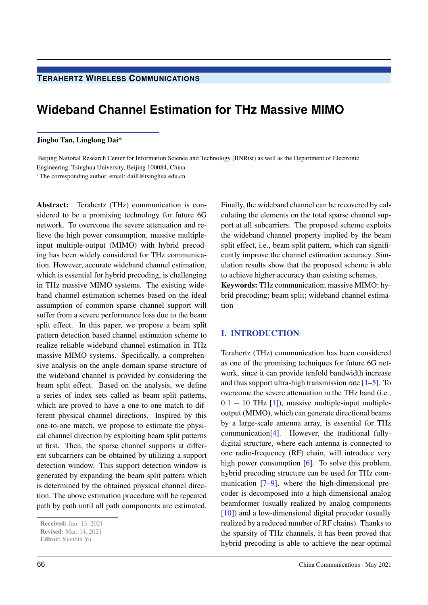## **TERAHERTZ WIRELESS COMMUNICATIONS**

# **Wideband Channel Estimation for THz Massive MIMO**

#### Jingbo Tan, Linglong Dai\*

Beijing National Research Center for Information Science and Technology (BNRist) as well as the Department of Electronic Engineering, Tsinghua University, Beijing 100084, China

\* The corresponding author, email: daill@tsinghua.edu.cn

Abstract: Terahertz (THz) communication is considered to be a promising technology for future 6G network. To overcome the severe attenuation and relieve the high power consumption, massive multipleinput multiple-output (MIMO) with hybrid precoding has been widely considered for THz communication. However, accurate wideband channel estimation, which is essential for hybrid precoding, is challenging in THz massive MIMO systems. The existing wideband channel estimation schemes based on the ideal assumption of common sparse channel support will suffer from a severe performance loss due to the beam split effect. In this paper, we propose a beam split pattern detection based channel estimation scheme to realize reliable wideband channel estimation in THz massive MIMO systems. Specifically, a comprehensive analysis on the angle-domain sparse structure of the wideband channel is provided by considering the beam split effect. Based on the analysis, we define a series of index sets called as beam split patterns, which are proved to have a one-to-one match to different physical channel directions. Inspired by this one-to-one match, we propose to estimate the physical channel direction by exploiting beam split patterns at first. Then, the sparse channel supports at different subcarriers can be obtained by utilizing a support detection window. This support detection window is generated by expanding the beam split pattern which is determined by the obtained physical channel direction. The above estimation procedure will be repeated path by path until all path components are estimated.

Finally, the wideband channel can be recovered by calculating the elements on the total sparse channel support at all subcarriers. The proposed scheme exploits the wideband channel property implied by the beam split effect, i.e., beam split pattern, which can significantly improve the channel estimation accuracy. Simulation results show that the proposed scheme is able to achieve higher accuracy than existing schemes. Keywords: THz communication; massive MIMO; hybrid precoding; beam split; wideband channel estimation

### I. INTRODUCTION

Terahertz (THz) communication has been considered as one of the promising techniques for future 6G network, since it can provide tenfold bandwidth increase and thus support ultra-high transmission rate  $[1-5]$ . To overcome the severe attenuation in the THz band (i.e.,  $0.1 - 10$  THz [1]), massive multiple-input multipleoutput (MIMO), which can generate directional beams by a large-scale antenna array, is essential for THz communication[4]. However, the traditional fullydigital structure, where each antenna is connected to one radio-frequency (RF) chain, will introduce very high power consumption [6]. To solve this problem, hybrid precoding structure can be used for THz communication [7–9], where the high-dimensional precoder is decomposed into a high-dimensional analog beamformer (usually realized by analog components [10]) and a low-dimensional digital precoder (usually realized by a reduced number of RF chains). Thanks to the sparsity of THz channels, it has been proved that hybrid precoding is able to achieve the near-optimal

Received: Jan. 13, 2021

Revised: Mar. 14, 2021

Editor: Xianbin Yu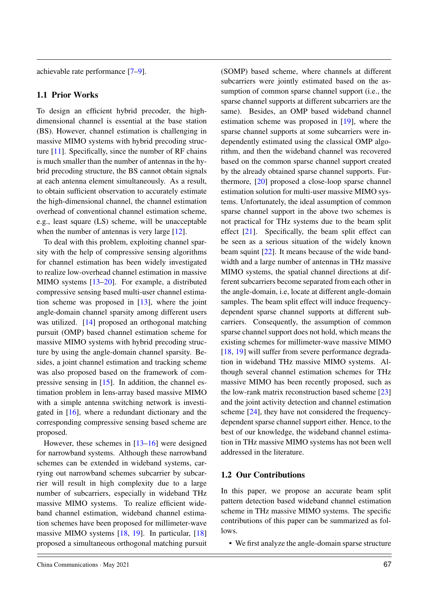achievable rate performance [7–9].

### 1.1 Prior Works

To design an efficient hybrid precoder, the highdimensional channel is essential at the base station (BS). However, channel estimation is challenging in massive MIMO systems with hybrid precoding structure  $[11]$ . Specifically, since the number of RF chains is much smaller than the number of antennas in the hybrid precoding structure, the BS cannot obtain signals at each antenna element simultaneously. As a result, to obtain sufficient observation to accurately estimate the high-dimensional channel, the channel estimation overhead of conventional channel estimation scheme, e.g., least square (LS) scheme, will be unacceptable when the number of antennas is very large [12].

To deal with this problem, exploiting channel sparsity with the help of compressive sensing algorithms for channel estimation has been widely investigated to realize low-overhead channel estimation in massive MIMO systems [13–20]. For example, a distributed compressive sensing based multi-user channel estimation scheme was proposed in [13], where the joint angle-domain channel sparsity among different users was utilized. [14] proposed an orthogonal matching pursuit (OMP) based channel estimation scheme for massive MIMO systems with hybrid precoding structure by using the angle-domain channel sparsity. Besides, a joint channel estimation and tracking scheme was also proposed based on the framework of compressive sensing in  $[15]$ . In addition, the channel estimation problem in lens-array based massive MIMO with a simple antenna switching network is investigated in [16], where a redundant dictionary and the corresponding compressive sensing based scheme are proposed.

However, these schemes in [13–16] were designed for narrowband systems. Although these narrowband schemes can be extended in wideband systems, carrying out narrowband schemes subcarrier by subcarrier will result in high complexity due to a large number of subcarriers, especially in wideband THz massive MIMO systems. To realize efficient wideband channel estimation, wideband channel estimation schemes have been proposed for millimeter-wave massive MIMO systems [18, 19]. In particular, [18] proposed a simultaneous orthogonal matching pursuit (SOMP) based scheme, where channels at different subcarriers were jointly estimated based on the assumption of common sparse channel support (i.e., the sparse channel supports at different subcarriers are the same). Besides, an OMP based wideband channel estimation scheme was proposed in [19], where the sparse channel supports at some subcarriers were independently estimated using the classical OMP algorithm, and then the wideband channel was recovered based on the common sparse channel support created by the already obtained sparse channel supports. Furthermore, [20] proposed a close-loop sparse channel estimation solution for multi-user massive MIMO systems. Unfortunately, the ideal assumption of common sparse channel support in the above two schemes is not practical for THz systems due to the beam split effect [21]. Specifically, the beam split effect can be seen as a serious situation of the widely known beam squint [22]. It means because of the wide bandwidth and a large number of antennas in THz massive MIMO systems, the spatial channel directions at different subcarriers become separated from each other in the angle-domain, i.e, locate at different angle-domain samples. The beam split effect will induce frequencydependent sparse channel supports at different subcarriers. Consequently, the assumption of common sparse channel support does not hold, which means the existing schemes for millimeter-wave massive MIMO [18, 19] will suffer from severe performance degradation in wideband THz massive MIMO systems. Although several channel estimation schemes for THz massive MIMO has been recently proposed, such as the low-rank matrix reconstruction based scheme [23] and the joint activity detection and channel estimation scheme [24], they have not considered the frequencydependent sparse channel support either. Hence, to the best of our knowledge, the wideband channel estimation in THz massive MIMO systems has not been well addressed in the literature.

### 1.2 Our Contributions

In this paper, we propose an accurate beam split pattern detection based wideband channel estimation scheme in THz massive MIMO systems. The specific contributions of this paper can be summarized as follows.

• We first analyze the angle-domain sparse structure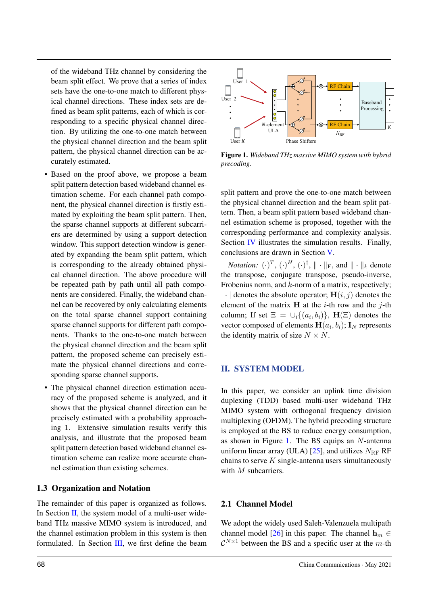of the wideband THz channel by considering the beam split effect. We prove that a series of index sets have the one-to-one match to different physical channel directions. These index sets are defined as beam split patterns, each of which is corresponding to a specific physical channel direction. By utilizing the one-to-one match between the physical channel direction and the beam split pattern, the physical channel direction can be accurately estimated.

- Based on the proof above, we propose a beam split pattern detection based wideband channel estimation scheme. For each channel path component, the physical channel direction is firstly estimated by exploiting the beam split pattern. Then, the sparse channel supports at different subcarriers are determined by using a support detection window. This support detection window is generated by expanding the beam split pattern, which is corresponding to the already obtained physical channel direction. The above procedure will be repeated path by path until all path components are considered. Finally, the wideband channel can be recovered by only calculating elements on the total sparse channel support containing sparse channel supports for different path components. Thanks to the one-to-one match between the physical channel direction and the beam split pattern, the proposed scheme can precisely estimate the physical channel directions and corresponding sparse channel supports.
- The physical channel direction estimation accuracy of the proposed scheme is analyzed, and it shows that the physical channel direction can be precisely estimated with a probability approaching 1. Extensive simulation results verify this analysis, and illustrate that the proposed beam split pattern detection based wideband channel estimation scheme can realize more accurate channel estimation than existing schemes.

### 1.3 Organization and Notation

The remainder of this paper is organized as follows. In Section II, the system model of a multi-user wideband THz massive MIMO system is introduced, and the channel estimation problem in this system is then formulated. In Section III, we first define the beam





Figure 1. *Wideband THz massive MIMO system with hybrid precoding.*

split pattern and prove the one-to-one match between the physical channel direction and the beam split pattern. Then, a beam split pattern based wideband channel estimation scheme is proposed, together with the corresponding performance and complexity analysis. Section IV illustrates the simulation results. Finally, conclusions are drawn in Section V.

*Notation:*  $(\cdot)^T$ ,  $(\cdot)^H$ ,  $(\cdot)^{\dagger}$ ,  $\|\cdot\|_F$ , and  $\|\cdot\|_k$  denote the transpose, conjugate transpose, pseudo-inverse, Frobenius norm, and  $k$ -norm of a matrix, respectively;  $|\cdot|$  denotes the absolute operator;  $H(i, j)$  denotes the element of the matrix  $H$  at the *i*-th row and the *j*-th column; If set  $\Xi = \cup_i \{(a_i, b_i)\}\text{, } H(\Xi)$  denotes the vector composed of elements  $H(a_i, b_i)$ ;  $I_N$  represents the identity matrix of size  $N \times N$ .

### II. SYSTEM MODEL

In this paper, we consider an uplink time division duplexing (TDD) based multi-user wideband THz MIMO system with orthogonal frequency division multiplexing (OFDM). The hybrid precoding structure is employed at the BS to reduce energy consumption, as shown in Figure 1. The BS equips an N-antenna uniform linear array (ULA) [25], and utilizes  $N_{\text{RF}}$  RF chains to serve  $K$  single-antenna users simultaneously with M subcarriers.

### 2.1 Channel Model

We adopt the widely used Saleh-Valenzuela multipath channel model [26] in this paper. The channel  $\mathbf{h}_m \in$  $\mathcal{C}^{N\times 1}$  between the BS and a specific user at the m-th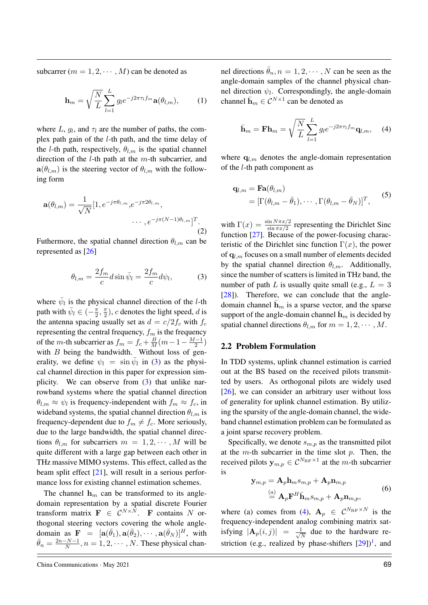subcarrer  $(m = 1, 2, \dots, M)$  can be denoted as

$$
\mathbf{h}_m = \sqrt{\frac{N}{L}} \sum_{l=1}^{L} g_l e^{-j2\pi\tau_l f_m} \mathbf{a}(\theta_{l,m}), \qquad (1)
$$

where L,  $g_l$ , and  $\tau_l$  are the number of paths, the complex path gain of the l-th path, and the time delay of the *l*-th path, respectively,  $\theta_{l,m}$  is the spatial channel direction of the  $l$ -th path at the  $m$ -th subcarrier, and  $\mathbf{a}(\theta_{l,m})$  is the steering vector of  $\theta_{l,m}$  with the following form

$$
\mathbf{a}(\theta_{l,m}) = \frac{1}{\sqrt{N}} [1, e^{-j\pi\theta_{l,m}}, e^{-j\pi 2\theta_{l,m}}, \cdots, e^{-j\pi(N-1)\theta_{l,m}}]^T.
$$
\n(2)

Futhermore, the spatial channel direction  $\theta_{l,m}$  can be represented as [26]

$$
\theta_{l,m} = \frac{2f_m}{c} d\sin\bar{\psi}_l = \frac{2f_m}{c} d\psi_l, \tag{3}
$$

where  $\bar{\psi}_l$  is the physical channel direction of the *l*-th path with  $\bar{\psi}_l \in (-\frac{\pi}{2})$  $\frac{\pi}{2}, \frac{\pi}{2}$  $(\frac{\pi}{2})$ , c denotes the light speed, d is the antenna spacing usually set as  $d = c/2f_c$  with  $f_c$ representing the central frequency,  $f_m$  is the frequency of the *m*-th subcarrier as  $f_m = f_c + \frac{B}{M}(m-1-\frac{M-1}{2})$  $\frac{-1}{2}$ with  $B$  being the bandwidth. Without loss of generality, we define  $\psi_l = \sin \bar{\psi}_l$  in (3) as the physical channel direction in this paper for expression simplicity. We can observe from (3) that unlike narrowband systems where the spatial channel direction  $\theta_{l,m} \approx \psi_l$  is frequency-independent with  $f_m \approx f_c$ , in wideband systems, the spatial channel direction  $\theta_{l,m}$  is frequency-dependent due to  $f_m \neq f_c$ . More seriously, due to the large bandwidth, the spatial channel directions  $\theta_{l,m}$  for subcarriers  $m = 1, 2, \cdots, M$  will be quite different with a large gap between each other in THz massive MIMO systems. This effect, called as the beam split effect [21], will result in a serious performance loss for existing channel estimation schemes.

The channel  $h_m$  can be transformed to its angledomain representation by a spatial discrete Fourier transform matrix  $\mathbf{F} \in \mathcal{C}^{N \times N}$ . F contains N orthogonal steering vectors covering the whole angledomain as  $\mathbf{F} = [\mathbf{a}(\bar{\theta}_1), \mathbf{a}(\bar{\theta}_2), \cdots, \mathbf{a}(\bar{\theta}_N)]^H$ , with  $\bar{\theta}_n = \frac{2n-N-1}{N}$  $\frac{N-N-1}{N}, n = 1, 2, \cdots, N$ . These physical channel directions  $\bar{\theta}_n$ ,  $n = 1, 2, \cdots, N$  can be seen as the angle-domain samples of the channel physical channel direction  $\psi_l$ . Correspondingly, the angle-domain channel  $\bar{\mathbf{h}}_m \in \mathcal{C}^{N \times 1}$  can be denoted as

$$
\bar{\mathbf{h}}_m = \mathbf{F} \mathbf{h}_m = \sqrt{\frac{N}{L}} \sum_{l=1}^{L} g_l e^{-j2\pi \tau_l f_m} \mathbf{q}_{l,m}, \quad (4)
$$

where  $q_{l,m}$  denotes the angle-domain representation of the l-th path component as

$$
\mathbf{q}_{l,m} = \mathbf{Fa}(\theta_{l,m})
$$
  
=\left[\Gamma(\theta\_{l,m} - \bar{\theta}\_1), \cdots, \Gamma(\theta\_{l,m} - \bar{\theta}\_N)\right]^T, (5)

with  $\Gamma(x) = \frac{\sin N \pi x/2}{\sin \pi x/2}$  representing the Dirichlet Sinc function [27]. Because of the power-focusing characteristic of the Dirichlet sinc function  $\Gamma(x)$ , the power of  $q_{l,m}$  focuses on a small number of elements decided by the spatial channel direction  $\theta_{l,m}$ . Additionally, since the number of scatters is limited in THz band, the number of path L is usually quite small (e.g.,  $L = 3$ ) [28]). Therefore, we can conclude that the angledomain channel  $\mathbf{h}_m$  is a sparse vector, and the sparse support of the angle-domain channel  $\bar{\mathbf{h}}_m$  is decided by spatial channel directions  $\theta_{l,m}$  for  $m = 1, 2, \cdots, M$ .

#### 2.2 Problem Formulation

In TDD systems, uplink channel estimation is carried out at the BS based on the received pilots transmitted by users. As orthogonal pilots are widely used [26], we can consider an arbitrary user without loss of generality for uplink channel estimation. By utilizing the sparsity of the angle-domain channel, the wideband channel estimation problem can be formulated as a joint sparse recovery problem.

Specifically, we denote  $s_{m,p}$  as the transmitted pilot at the  $m$ -th subcarrier in the time slot  $p$ . Then, the received pilots  $y_{m,p} \in \mathcal{C}^{N_{\text{RF}} \times 1}$  at the m-th subcarrier is

$$
\mathbf{y}_{m,p} = \mathbf{A}_p \mathbf{h}_m s_{m,p} + \mathbf{A}_p \mathbf{n}_{m,p}
$$
  
\n
$$
\stackrel{(a)}{=} \mathbf{A}_p \mathbf{F}^H \bar{\mathbf{h}}_m s_{m,p} + \mathbf{A}_p \mathbf{n}_{m,p},
$$
\n(6)

where (a) comes from (4),  $\mathbf{A}_p \in \mathcal{C}^{N_{\text{RF}} \times N}$  is the frequency-independent analog combining matrix satisfying  $|\mathbf{A}_p(i,j)| = \frac{1}{\sqrt{2}}$  $\frac{1}{\overline{N}}$  due to the hardware restriction (e.g., realized by phase-shifters  $[29]$ )<sup>1</sup>, and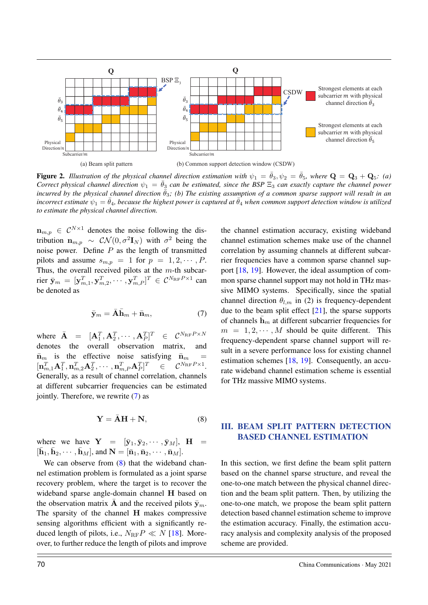

Figure 2. *Illustration of the physical channel direction estimation with*  $\psi_1 = \bar{\theta}_3$ ,  $\psi_2 = \bar{\theta}_5$ , where  $\mathbf{Q} = \mathbf{Q}_3 + \mathbf{Q}_5$ : (a) *Correct physical channel direction*  $\psi_1 = \bar{\theta}_3$  *can be estimated, since the BSP*  $\Xi_3$  *can exactly capture the channel power incurred by the physical channel direction*  $\bar{\theta}_3$ ; (b) The existing assumption of a common sparse support will result in an *incorrect estimate*  $\psi_1 = \bar{\theta}_4$ *, because the highest power is captured at*  $\bar{\theta}_4$  *when common support detection window is utilized to estimate the physical channel direction.*

 $\mathbf{n}_{m,p} \in \mathcal{C}^{N \times 1}$  denotes the noise following the distribution  $\mathbf{n}_{m,p} \sim \mathcal{CN}(0,\sigma^2 \mathbf{I}_N)$  with  $\sigma^2$  being the noise power. Define  $P$  as the length of transmitted pilots and assume  $s_{m,p} = 1$  for  $p = 1, 2, \cdots, P$ . Thus, the overall received pilots at the  $m$ -th subcarrier  $\bar{\mathbf{y}}_m = [\mathbf{y}_{m,1}^T, \mathbf{y}_{m,2}^T, \cdots, \mathbf{y}_{m,P}^T]^T \in \mathcal{C}^{N_{\text{RF}}P \times 1}$  can be denoted as

$$
\bar{\mathbf{y}}_m = \bar{\mathbf{A}} \bar{\mathbf{h}}_m + \bar{\mathbf{n}}_m,\tag{7}
$$

where  $\bar{\mathbf{A}} = [\mathbf{A}_1^T, \mathbf{A}_2^T, \cdots, \mathbf{A}_P^T]^T \in \mathcal{C}^{N_{\text{RF}}P \times N}$ denotes the overall observation matrix,  $\bar{\mathbf{n}}_m$  is the effective noise satisfying  $\bar{\mathbf{n}}_m$  $[\textbf{n}^T_{m,1}\textbf{A}^T_1,\textbf{n}^T_{m,2}\textbf{A}^T_2,\cdots,\textbf{n}^T_{m,P}\textbf{A}^T_P]$  $T \in \mathcal{C}^{N_{\rm RF}P\times 1}.$ Generally, as a result of channel correlation, channels at different subcarrier frequencies can be estimated jointly. Therefore, we rewrite (7) as

$$
\mathbf{Y} = \bar{\mathbf{A}}\mathbf{H} + \mathbf{N},\tag{8}
$$

where we have  $Y = [\bar{y}_1, \bar{y}_2, \cdots, \bar{y}_M],$   $H =$  $[\bar{\mathbf{h}}_1, \bar{\mathbf{h}}_2, \cdots, \bar{\mathbf{h}}_M]$ , and  $\mathbf{N} = [\bar{\mathbf{n}}_1, \bar{\mathbf{n}}_2, \cdots, \bar{\mathbf{n}}_M]$ .

We can observe from  $(8)$  that the wideband channel estimation problem is formulated as a joint sparse recovery problem, where the target is to recover the wideband sparse angle-domain channel H based on the observation matrix  $\overline{A}$  and the received pilots  $\overline{y}_m$ . The sparsity of the channel H makes compressive sensing algorithms efficient with a significantly reduced length of pilots, i.e.,  $N_{\text{RF}}P \ll N$  [18]. Moreover, to further reduce the length of pilots and improve the channel estimation accuracy, existing wideband channel estimation schemes make use of the channel correlation by assuming channels at different subcarrier frequencies have a common sparse channel support [18, 19]. However, the ideal assumption of common sparse channel support may not hold in THz massive MIMO systems. Specifically, since the spatial channel direction  $\theta_{l,m}$  in (2) is frequency-dependent due to the beam split effect  $[21]$ , the sparse supports of channels  $\bar{\mathbf{h}}_m$  at different subcarrier frequencies for  $m = 1, 2, \dots, M$  should be quite different. This frequency-dependent sparse channel support will result in a severe performance loss for existing channel estimation schemes [18, 19]. Consequently, an accurate wideband channel estimation scheme is essential for THz massive MIMO systems.

# III. BEAM SPLIT PATTERN DETECTION BASED CHANNEL ESTIMATION

In this section, we first define the beam split pattern based on the channel sparse structure, and reveal the one-to-one match between the physical channel direction and the beam split pattern. Then, by utilizing the one-to-one match, we propose the beam split pattern detection based channel estimation scheme to improve the estimation accuracy. Finally, the estimation accuracy analysis and complexity analysis of the proposed scheme are provided.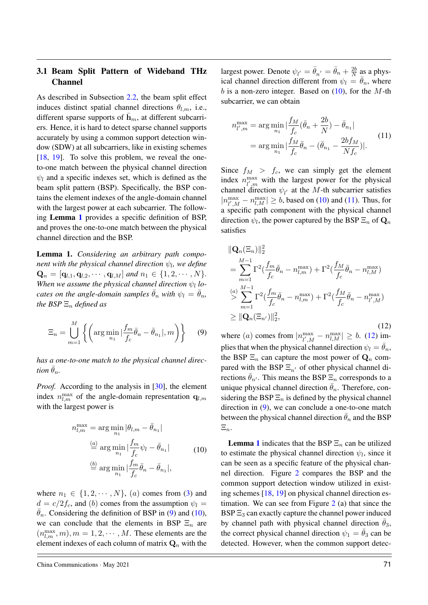## 3.1 Beam Split Pattern of Wideband THz Channel

As described in Subsection 2.2, the beam split effect induces distinct spatial channel directions  $\theta_{lm}$ , i.e., different sparse supports of  $\bar{\mathbf{h}}_m$ , at different subcarriers. Hence, it is hard to detect sparse channel supports accurately by using a common support detection window (SDW) at all subcarriers, like in existing schemes [18, 19]. To solve this problem, we reveal the oneto-one match between the physical channel direction  $\psi_l$  and a specific indexes set, which is defined as the beam split pattern (BSP). Specifically, the BSP contains the element indexes of the angle-domain channel with the largest power at each subcarrier. The following Lemma 1 provides a specific definition of BSP, and proves the one-to-one match between the physical channel direction and the BSP.

Lemma 1. *Considering an arbitrary path component with the physical channel direction*  $\psi_l$ *, we define*  $\mathbf{Q}_n = [\mathbf{q}_{l,1}, \mathbf{q}_{l,2}, \cdots, \mathbf{q}_{l,M}]$  *and*  $n_1 \in \{1, 2, \cdots, N\}.$ *When we assume the physical channel direction*  $\psi_l$  *locates on the angle-domain samples*  $\bar{\theta}_n$  *with*  $\psi_l = \bar{\theta}_n$ *, the BSP*  $\Xi_n$  *defined as* 

$$
\Xi_n = \bigcup_{m=1}^M \left\{ \left( \arg \min_{n_1} |\frac{f_m}{f_c}\bar{\theta}_n - \bar{\theta}_{n_1}|, m \right) \right\} \tag{9}
$$

*has a one-to-one match to the physical channel direction*  $\bar{\theta}_n$ *.* 

*Proof.* According to the analysis in [30], the element index  $n_{l,m}^{\text{max}}$  of the angle-domain representation  $\mathbf{q}_{l,m}$ with the largest power is

$$
n_{l,m}^{\max} = \arg\min_{n_1} |\theta_{l,m} - \bar{\theta}_{n_1}|
$$
  
\n
$$
\stackrel{(a)}{=} \arg\min_{n_1} |\frac{f_m}{f_c} \psi_l - \bar{\theta}_{n_1}|
$$
  
\n
$$
\stackrel{(b)}{=} \arg\min_{n_1} |\frac{f_m}{f_c} \bar{\theta}_n - \bar{\theta}_{n_1}|,
$$
\n(10)

where  $n_1 \in \{1, 2, \dots, N\}$ , (a) comes from (3) and  $d = c/2f_c$ , and (b) comes from the assumption  $\psi_l =$  $\theta_n$ . Considering the definition of BSP in (9) and (10), we can conclude that the elements in BSP  $\Xi_n$  are  $(n_{l,m}^{\max},m), m = 1, 2, \cdots, M$ . These elements are the element indexes of each column of matrix  $\mathbf{Q}_n$  with the

China Communications · May 2021  $\sqrt{71}$ 

largest power. Denote  $\psi_{l'} = \bar{\theta}_{n'} = \bar{\theta}_n + \frac{2b}{N}$  $\frac{2b}{N}$  as a physical channel direction different from  $\psi_l = \theta_n$ , where  $b$  is a non-zero integer. Based on  $(10)$ , for the M-th subcarrier, we can obtain

$$
n_{l',m}^{\max} = \arg\min_{n_1} |\frac{f_M}{f_c}(\bar{\theta}_n + \frac{2b}{N}) - \bar{\theta}_{n_1}|
$$
  
= 
$$
\arg\min_{n_1} |\frac{f_M}{f_c}\bar{\theta}_n - (\bar{\theta}_{n_1} - \frac{2bf_M}{Nf_c})|.
$$
 (11)

Since  $f_M > f_c$ , we can simply get the element index  $n_{l'm}^{\text{max}}$  $\int_{l',m}^{\text{max}}$  with the largest power for the physical channel direction  $\psi_{l'}$  at the M-th subcarrier satisfies  $|n_{\iota}^{\max}$  $\lim_{l',M} - n_{l,M}^{\max} \ge b$ , based on (10) and (11). Thus, for a specific path component with the physical channel direction  $\psi_l$ , the power captured by the BSP  $\Xi_n$  of  $\mathbf{Q}_n$ satisfies

$$
\|\mathbf{Q}_{n}(\Xi_{n})\|_{2}^{2}
$$
\n
$$
= \sum_{m=1}^{M-1} \Gamma^{2}(\frac{f_{m}}{f_{c}}\bar{\theta}_{n} - n_{l,m}^{\max}) + \Gamma^{2}(\frac{f_{M}}{f_{c}}\bar{\theta}_{n} - n_{l,M}^{\max})
$$
\n
$$
\overset{(a)}{\geq} \sum_{m=1}^{M-1} \Gamma^{2}(\frac{f_{m}}{f_{c}}\bar{\theta}_{n} - n_{l,m}^{\max}) + \Gamma^{2}(\frac{f_{M}}{f_{c}}\bar{\theta}_{n} - n_{l',M}^{\max})
$$
\n
$$
\geq \|\mathbf{Q}_{n}(\Xi_{n'})\|_{2}^{2},
$$
\n(12)

where (*a*) comes from  $|n_{l' M}^{\text{max}}|$  $\max_{l',M} - n_{l,M}^{\max} | \geq b.$  (12) implies that when the physical channel direction  $\psi_l = \bar{\theta}_n$ , the BSP  $\Xi_n$  can capture the most power of  $\mathbf{Q}_n$  compared with the BSP  $\Xi_{n'}$  of other physical channel directions  $\theta_{n'}$ . This means the BSP  $\Xi_n$  corresponds to a unique physical channel direction  $\bar{\theta}_n$ . Therefore, considering the BSP  $\Xi_n$  is defined by the physical channel direction in (9), we can conclude a one-to-one match between the physical channel direction  $\bar{\theta}_n$  and the BSP  $\Xi_n$ .

**Lemma 1** indicates that the BSP  $\Xi_n$  can be utilized to estimate the physical channel direction  $\psi_l$ , since it can be seen as a specific feature of the physical channel direction. Figure 2 compares the BSP and the common support detection window utilized in existing schemes [18, 19] on physical channel direction estimation. We can see from Figure 2 (a) that since the  $BSP \Xi_3$  can exactly capture the channel power induced by channel path with physical channel direction  $\bar{\theta}_3$ , the correct physical channel direction  $\psi_1 = \bar{\theta}_3$  can be detected. However, when the common support detec-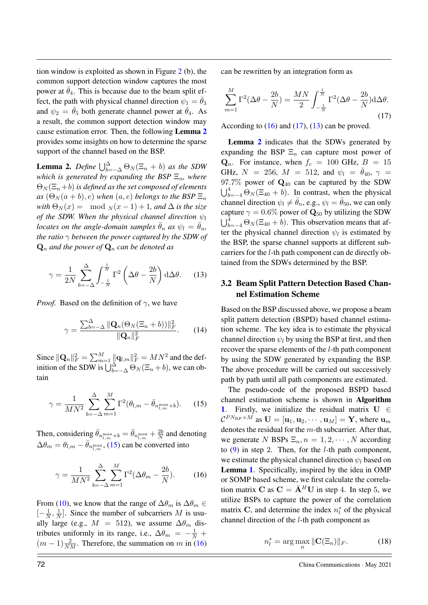tion window is exploited as shown in Figure 2 (b), the common support detection window captures the most power at  $\bar{\theta}_4$ . This is because due to the beam split effect, the path with physical channel direction  $\psi_1 = \bar{\theta}_3$ and  $\psi_2 = \bar{\theta}_5$  both generate channel power at  $\bar{\theta}_4$ . As a result, the common support detection window may cause estimation error. Then, the following Lemma 2 provides some insights on how to determine the sparse support of the channel based on the BSP.

**Lemma 2.** Define  $\bigcup_{b=-\Delta}^{\Delta} \Theta_N(\Xi_n + b)$  as the SDW *which is generated by expanding the BSP*  $\Xi_n$ *, where*  $\Theta_N(\Xi_n+b)$  *is defined as the set composed of elements*  $as$  ( $\Theta_N(a+b), e$ ) *when*  $(a, e)$  *belongs to the BSP*  $\Xi_n$ *with*  $\Theta_N(x) = \text{mod } N(x-1) + 1$ *, and*  $\Delta$  *is the size of the SDW. When the physical channel direction*  $\psi_l$ *locates on the angle-domain samples*  $\bar{\theta}_n$  *as*  $\psi_l = \bar{\theta}_n$ , *the ratio* γ *between the power captured by the SDW of*  $\mathbf{Q}_n$  *and the power of*  $\mathbf{Q}_n$  *can be denoted as* 

$$
\gamma = \frac{1}{2N} \sum_{b=-\Delta}^{\Delta} \int_{-\frac{1}{N}}^{\frac{1}{N}} \Gamma^2 \left( \Delta \theta - \frac{2b}{N} \right) d\Delta \theta. \tag{13}
$$

*Proof.* Based on the definition of  $\gamma$ , we have

$$
\gamma = \frac{\sum_{b=-\Delta}^{\Delta} \|\mathbf{Q}_n(\Theta_N(\Xi_n + b))\|_F^2}{\|\mathbf{Q}_n\|_F^2}.
$$
 (14)

Since  $\|\mathbf{Q}_n\|_F^2 = \sum_{m=1}^M \|\mathbf{q}_{l,m}\|_F^2 = MN^2$  and the definition of the SDW is  $\bigcup_{b=-\Delta}^{\Delta} \Theta_N(\Xi_n + b)$ , we can obtain

$$
\gamma = \frac{1}{MN^2} \sum_{b=-\Delta}^{\Delta} \sum_{m=1}^{M} \Gamma^2(\theta_{l,m} - \bar{\theta}_{n_{l,m}^{\max}+b}).
$$
 (15)

Then, considering  $\bar{\theta}_{n_{l,m}^{\max}+b} = \bar{\theta}_{n_{l,m}^{\max}} + \frac{2b}{N}$  $\frac{2b}{N}$  and denoting  $\Delta\theta_m = \theta_{l,m} - \bar{\theta}_{n_{l,m}^{\max}}$ , (15) can be converted into

$$
\gamma = \frac{1}{MN^2} \sum_{b=-\Delta}^{\Delta} \sum_{m=1}^{M} \Gamma^2 (\Delta \theta_m - \frac{2b}{N}).
$$
 (16)

From (10), we know that the range of  $\Delta\theta_m$  is  $\Delta\theta_m \in$  $\left[-\frac{1}{\lambda}\right]$  $\frac{1}{N}$ ,  $\frac{1}{N}$  $\frac{1}{N}$ . Since the number of subcarriers M is usually large (e.g.,  $M = 512$ ), we assume  $\Delta\theta_m$  distributes uniformly in its range, i.e.,  $\Delta\theta_m = -\frac{1}{N} + \frac{1}{N}$  $(m-1)\frac{2}{NM}$ . Therefore, the summation on m in (16)

can be rewritten by an integration form as

$$
\sum_{m=1}^{M} \Gamma^2 (\Delta \theta - \frac{2b}{N}) = \frac{MN}{2} \int_{-\frac{1}{N}}^{\frac{1}{N}} \Gamma^2 (\Delta \theta - \frac{2b}{N}) d\Delta \theta.
$$
\n(17)

According to  $(16)$  and  $(17)$ ,  $(13)$  can be proved.

Lemma 2 indicates that the SDWs generated by expanding the BSP  $\Xi_n$  can capture most power of  $\mathbf{Q}_n$ . For instance, when  $f_c = 100$  GHz,  $B = 15$ GHz,  $N = 256$ ,  $M = 512$ , and  $\psi_l = \bar{\theta}_{40}$ ,  $\gamma =$  $97.7\%$  power of  $\mathbf{Q}_{40}$  can be captured by the SDW  $\bigcup_{b=-4}^{4} \Theta_N(\Xi_{40} + b)$ . In contrast, when the physical channel direction  $\psi_l \neq \bar{\theta}_n$ , e.g.,  $\psi_l = \bar{\theta}_{50}$ , we can only capture  $\gamma = 0.6\%$  power of  $\mathbf{Q}_{50}$  by utilizing the SDW  $\bigcup_{b=-4}^{4} \Theta_N(\Xi_{40} + b)$ . This observation means that after the physical channel direction  $\psi_l$  is estimated by the BSP, the sparse channel supports at different subcarriers for the l-th path component can de directly obtained from the SDWs determined by the BSP.

### 3.2 Beam Split Pattern Detection Based Channel Estimation Scheme

Based on the BSP discussed above, we propose a beam split pattern detection (BSPD) based channel estimation scheme. The key idea is to estimate the physical channel direction  $\psi_l$  by using the BSP at first, and then recover the sparse elements of the l-th path component by using the SDW generated by expanding the BSP. The above procedure will be carried out successively path by path until all path components are estimated.

The pseudo-code of the proposed BSPD based channel estimation scheme is shown in Algorithm 1. Firstly, we initialize the residual matrix  $U \in$  $\mathcal{C}^{PN_{\text{RF}} \times M}$  as  $\mathbf{U} = [\mathbf{u}_1, \mathbf{u}_2, \cdots, \mathbf{u}_M] = \mathbf{Y}$ , where  $\mathbf{u}_m$ denotes the residual for the  $m$ -th subcarrier. After that, we generate N BSPs  $\Xi_n$ ,  $n = 1, 2, \cdots, N$  according to  $(9)$  in step 2. Then, for the *l*-th path component, we estimate the physical channel direction  $\psi_l$  based on Lemma 1. Specifically, inspired by the idea in OMP or SOMP based scheme, we first calculate the correlation matrix C as  $C = \overline{A}^H U$  in step 4. In step 5, we utilize BSPs to capture the power of the correlation matrix C, and determine the index  $n_l^*$  of the physical channel direction of the l-th path component as

$$
n_l^* = \arg\max_n \|\mathbf{C}(\Xi_n)\|_F. \tag{18}
$$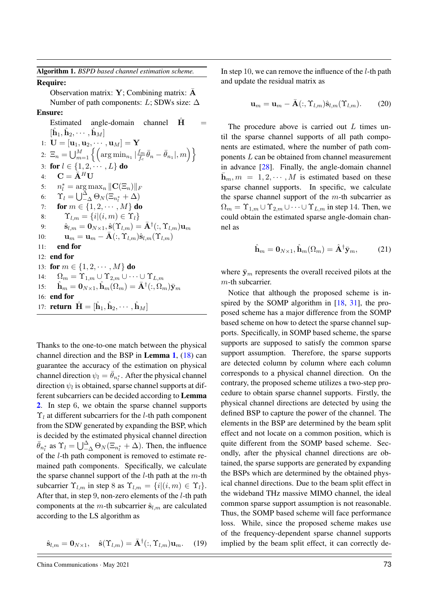Algorithm 1. *BSPD based channel estimation scheme.*

### Require:

Observation matrix:  $Y$ ; Combining matrix:  $\overline{A}$ Number of path components: L; SDWs size:  $\Delta$ Ensure:

# Estimated angle-domain channel  $H$  $[\hat{\mathbf{h}}_1, \hat{\mathbf{h}}_2, \cdots, \hat{\mathbf{h}}_M]$ 1:  ${\bf U} = [{\bf u}_1, {\bf u}_2, \cdots, {\bf u}_M] = {\bf Y}$ 2:  $\Xi_n = \bigcup_{m=1}^M \left\{ \left( \arg \min_{n_1} \left| \frac{f_m}{f_c} \right| \right) \right\}$  $\left\{\frac{f_m}{f_c}\bar{\theta}_n - \bar{\theta}_{n_1}|, m\right\}\right\},$ 3: for  $l \in \{1, 2, \dots, L\}$  do 4:  $\mathbf{C} = \bar{\mathbf{A}}^H \mathbf{U}$ 5:  $n_l^* = \arg \max_n ||\mathbf{C}(\Xi_n)||_F$ 6:  $\Upsilon_l = \bigcup_{-\Delta}^{\Delta} \Theta_N (\Xi_{n_l^*} + \Delta)$ 7: **for**  $m \in \{1, 2, \cdots, M\}$  do 8:  $\Upsilon_{l,m} = \{i|(i,m) \in \Upsilon_l\}$ 9:  $\mathbf{\hat{s}}_{l,m} = \mathbf{0}_{N \times 1}, \hat{\mathbf{s}}(\Upsilon_{l,m}) = \bar{\mathbf{A}}^\dagger(:,\Upsilon_{l,m}) \mathbf{u}_m$ 10:  $\mathbf{u}_m = \mathbf{u}_m - \bar{\mathbf{A}}(:, \Upsilon_{l,m})\hat{\mathbf{s}}_{l,m}(\Upsilon_{l,m})$ 11: end for 12: end for 13: for  $m \in \{1, 2, \cdots, M\}$  do 14:  $\Omega_m = \Upsilon_{1,m} \cup \Upsilon_{2,m} \cup \cdots \cup \Upsilon_{L,m}$ 15:  $\hat{\mathbf{h}}_m = \mathbf{0}_{N \times 1}, \hat{\mathbf{h}}_m(\Omega_m) = \bar{\mathbf{A}}^\dagger(:,\Omega_m)\bar{\mathbf{y}}_m$ 16: end for 17: **return**  $\hat{\mathbf{H}} = [\hat{\mathbf{h}}_1, \hat{\mathbf{h}}_2, \cdots, \hat{\mathbf{h}}_M]$

Thanks to the one-to-one match between the physical channel direction and the BSP in Lemma 1, (18) can guarantee the accuracy of the estimation on physical channel direction  $\psi_l = \bar{\theta}_{n_l^*}$ . After the physical channel direction  $\psi_l$  is obtained, sparse channel supports at different subcarriers can be decided according to Lemma 2. In step 6, we obtain the sparse channel supports  $\Upsilon_l$  at different subcarriers for the *l*-th path component from the SDW generated by expanding the BSP, which is decided by the estimated physical channel direction  $\bar{\theta}_{n_l^*}$  as  $\Upsilon_l = \bigcup_{-\Delta}^{\Delta} \Theta_N(\Xi_{n_l^*} + \Delta)$ . Then, the influence of the l-th path component is removed to estimate remained path components. Specifically, we calculate the sparse channel support of the  $l$ -th path at the  $m$ -th subcarrier  $\Upsilon_{l,m}$  in step 8 as  $\Upsilon_{l,m} = \{i|(i,m) \in \Upsilon_l\}.$ After that, in step 9, non-zero elements of the *l*-th path components at the m-th subcarrier  $\hat{\mathbf{s}}_{l,m}$  are calculated according to the LS algorithm as

$$
\hat{\mathbf{s}}_{l,m} = \mathbf{0}_{N \times 1}, \quad \hat{\mathbf{s}}(\Upsilon_{l,m}) = \bar{\mathbf{A}}^{\dagger}(:,\Upsilon_{l,m})\mathbf{u}_m. \quad (19)
$$

In step 10, we can remove the influence of the  $l$ -th path and update the residual matrix as

$$
\mathbf{u}_m = \mathbf{u}_m - \bar{\mathbf{A}}(:, \Upsilon_{l,m})\hat{\mathbf{s}}_{l,m}(\Upsilon_{l,m}).
$$
 (20)

The procedure above is carried out  $L$  times until the sparse channel supports of all path components are estimated, where the number of path components L can be obtained from channel measurement in advance [28]. Finally, the angle-domain channel  $\bar{\mathbf{h}}_m$ ,  $m = 1, 2, \cdots, M$  is estimated based on these sparse channel supports. In specific, we calculate the sparse channel support of the  $m$ -th subcarrier as  $\Omega_m = \Upsilon_{1,m} \cup \Upsilon_{2,m} \cup \cdots \cup \Upsilon_{L,m}$  in step 14. Then, we could obtain the estimated sparse angle-domain channel as

$$
\hat{\mathbf{h}}_m = \mathbf{0}_{N \times 1}, \hat{\mathbf{h}}_m(\Omega_m) = \hat{\mathbf{A}}^\dagger \bar{\mathbf{y}}_m,\tag{21}
$$

where  $\bar{y}_m$  represents the overall received pilots at the m-th subcarrier.

Notice that although the proposed scheme is inspired by the SOMP algorithm in [18, 31], the proposed scheme has a major difference from the SOMP based scheme on how to detect the sparse channel supports. Specifically, in SOMP based scheme, the sparse supports are supposed to satisfy the common sparse support assumption. Therefore, the sparse supports are detected column by column where each column corresponds to a physical channel direction. On the contrary, the proposed scheme utilizes a two-step procedure to obtain sparse channel supports. Firstly, the physical channel directions are detected by using the defined BSP to capture the power of the channel. The elements in the BSP are determined by the beam split effect and not locate on a common position, which is quite different from the SOMP based scheme. Secondly, after the physical channel directions are obtained, the sparse supports are generated by expanding the BSPs which are determined by the obtained physical channel directions. Due to the beam split effect in the wideband THz massive MIMO channel, the ideal common sparse support assumption is not reasonable. Thus, the SOMP based scheme will face performance loss. While, since the proposed scheme makes use of the frequency-dependent sparse channel supports implied by the beam split effect, it can correctly de-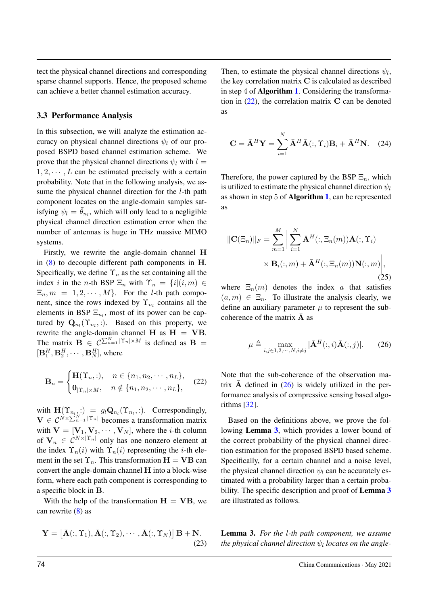tect the physical channel directions and corresponding sparse channel supports. Hence, the proposed scheme can achieve a better channel estimation accuracy.

### 3.3 Performance Analysis

In this subsection, we will analyze the estimation accuracy on physical channel directions  $\psi_l$  of our proposed BSPD based channel estimation scheme. We prove that the physical channel directions  $\psi_l$  with  $l =$  $1, 2, \dots, L$  can be estimated precisely with a certain probability. Note that in the following analysis, we assume the physical channel direction for the *l*-th path component locates on the angle-domain samples satisfying  $\psi_l = \bar{\theta}_{n_l}$ , which will only lead to a negligible physical channel direction estimation error when the number of antennas is huge in THz massive MIMO systems.

Firstly, we rewrite the angle-domain channel H in  $(8)$  to decouple different path components in H. Specifically, we define  $\Upsilon_n$  as the set containing all the index i in the n-th BSP  $\Xi_n$  with  $\Upsilon_n = \{i | (i, m) \in$  $\Xi_n$ ,  $m = 1, 2, \cdots, M$ . For the *l*-th path component, since the rows indexed by  $\Upsilon_{n_l}$  contains all the elements in BSP  $\Xi_{n_l}$ , most of its power can be captured by  $\mathbf{Q}_{n_l}(\Upsilon_{n_l},.)$ . Based on this property, we rewrite the angle-domain channel H as  $H = VB$ . The matrix  $\mathbf{B} \in C^{\sum_{n=1}^{N} |\Upsilon_n| \times M}$  is defined as  $\mathbf{B} =$  $[\mathbf{B}_1^H, \mathbf{B}_2^H, \cdots, \mathbf{B}_N^H]$ , where

$$
\mathbf{B}_n = \begin{cases} \mathbf{H}(\Upsilon_n, :), & n \in \{n_1, n_2, \cdots, n_L\}, \\ \mathbf{0}_{|\Upsilon_n| \times M}, & n \notin \{n_1, n_2, \cdots, n_L\}, \end{cases}
$$
 (22)

with  $\mathbf{H}(\Upsilon_{n_l,:}) = g_l \mathbf{Q}_{n_l}(\Upsilon_{n_l,:}).$  Correspondingly,  $\mathbf{V} \in \mathcal{C}^{N \times \sum_{n=1}^{N} |\Upsilon_n|}$  becomes a transformation matrix with  $V = [V_1, V_2, \cdots, V_N]$ , where the *i*-th column of  $V_n \in C^{N \times |\Upsilon_n|}$  only has one nonzero element at the index  $\Upsilon_n(i)$  with  $\Upsilon_n(i)$  representing the *i*-th element in the set  $\Upsilon_n$ . This transformation  $H = VB$  can convert the angle-domain channel H into a block-wise form, where each path component is corresponding to a specific block in B.

With the help of the transformation  $H = VB$ , we can rewrite  $(8)$  as

$$
\mathbf{Y} = \left[ \bar{\mathbf{A}}(:, \Upsilon_1), \bar{\mathbf{A}}(:, \Upsilon_2), \cdots, \bar{\mathbf{A}}(:, \Upsilon_N) \right] \mathbf{B} + \mathbf{N}.
$$
\n(23)

Then, to estimate the physical channel directions  $\psi_l$ , the key correlation matrix C is calculated as described in step 4 of Algorithm 1. Considering the transformation in  $(22)$ , the correlation matrix C can be denoted as

$$
\mathbf{C} = \bar{\mathbf{A}}^H \mathbf{Y} = \sum_{i=1}^N \bar{\mathbf{A}}^H \bar{\mathbf{A}}(:, \Upsilon_i) \mathbf{B}_i + \bar{\mathbf{A}}^H \mathbf{N}.
$$
 (24)

Therefore, the power captured by the BSP  $\Xi_n$ , which is utilized to estimate the physical channel direction  $\psi_l$ as shown in step 5 of Algorithm 1, can be represented as

$$
\|\mathbf{C}(\Xi_n)\|_F = \sum_{m=1}^M \left| \sum_{i=1}^N \bar{\mathbf{A}}^H(:,\Xi_n(m)) \bar{\mathbf{A}}(:,\Upsilon_i) \times \mathbf{B}_i(:,m) + \bar{\mathbf{A}}^H(:,\Xi_n(m)) \mathbf{N}(:,m) \right|,
$$
\n(25)

where  $\Xi_n(m)$  denotes the index a that satisfies  $(a, m) \in \Xi_n$ . To illustrate the analysis clearly, we define an auxiliary parameter  $\mu$  to represent the subcoherence of the matrix  $\overline{A}$  as

$$
\mu \triangleq \max_{i,j \in 1,2,\cdots,N, i \neq j} |\bar{\mathbf{A}}^H(:,i)\bar{\mathbf{A}}(:,j)|. \tag{26}
$$

Note that the sub-coherence of the observation matrix  $\overline{A}$  defined in (26) is widely utilized in the performance analysis of compressive sensing based algorithms [32].

Based on the definitions above, we prove the following Lemma 3, which provides a lower bound of the correct probability of the physical channel direction estimation for the proposed BSPD based scheme. Specifically, for a certain channel and a noise level, the physical channel direction  $\psi_l$  can be accurately estimated with a probability larger than a certain probability. The specific description and proof of **Lemma 3** are illustrated as follows.

Lemma 3. *For the* l*-th path component, we assume the physical channel direction*  $\psi_l$  *locates on the angle-*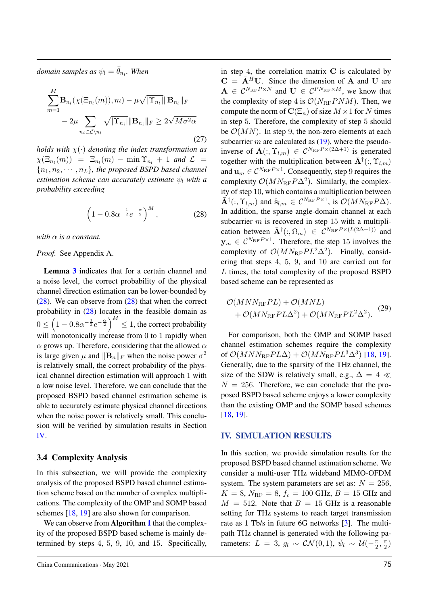$\emph{domain samples as $\psi_l=\bar{\theta}_{n_l}$. When}$ 

$$
\sum_{m=1}^{M} \mathbf{B}_{n_l}(\chi(\Xi_{n_l}(m)), m) - \mu \sqrt{|\Upsilon_{n_l}|} \|\mathbf{B}_{n_l}\|_F
$$

$$
-2\mu \sum_{n_i \in \mathcal{L} \setminus n_l} \sqrt{|\Upsilon_{n_i}|} \|\mathbf{B}_{n_i}\|_F \ge 2\sqrt{M\sigma^2\alpha}
$$
(27)

*holds with* χ(·) *denoting the index transformation as*  $\chi(\Xi_{n_l}(m)) = \Xi_{n_l}(m) - \min \Upsilon_{n_l} + 1$  and  $\mathcal{L} =$  ${n_1, n_2, \cdots, n_L}$ *, the proposed BSPD based channel estimation scheme can accurately estimate*  $\psi_l$  *with a probability exceeding*

$$
\left(1 - 0.8\alpha^{-\frac{1}{2}}e^{-\frac{\alpha}{2}}\right)^M,\tag{28}
$$

*with*  $\alpha$  *is a constant.* 

#### *Proof.* See Appendix A.

Lemma 3 indicates that for a certain channel and a noise level, the correct probability of the physical channel direction estimation can be lower-bounded by  $(28)$ . We can observe from  $(28)$  that when the correct probability in (28) locates in the feasible domain as  $0 \leq \left(1 - 0.8 \alpha^{-\frac{1}{2}} e^{-\frac{\alpha}{2}}\right)^M \leq 1$ , the correct probability will monotonically increase from 0 to 1 rapidly when  $\alpha$  grows up. Therefore, considering that the allowed  $\alpha$ is large given  $\mu$  and  $\|\mathbf{B}_n\|_F$  when the noise power  $\sigma^2$ is relatively small, the correct probability of the physical channel direction estimation will approach 1 with a low noise level. Therefore, we can conclude that the proposed BSPD based channel estimation scheme is able to accurately estimate physical channel directions when the noise power is relatively small. This conclusion will be verified by simulation results in Section IV.

### 3.4 Complexity Analysis

In this subsection, we will provide the complexity analysis of the proposed BSPD based channel estimation scheme based on the number of complex multiplications. The complexity of the OMP and SOMP based schemes [18, 19] are also shown for comparison.

We can observe from **Algorithm 1** that the complexity of the proposed BSPD based scheme is mainly determined by steps 4, 5, 9, 10, and 15. Specifically, in step 4, the correlation matrix  $C$  is calculated by  $C = \overline{A}^H U$ . Since the dimension of  $\overline{A}$  and U are  $\bar{\mathbf{A}} \in \mathcal{C}^{N_{\text{RF}}P \times N}$  and  $\mathbf{U} \in \mathcal{C}^{PN_{\text{RF}} \times M}$ , we know that the complexity of step 4 is  $\mathcal{O}(N_{\text{RF}} P N M)$ . Then, we compute the norm of  $C(\Xi_n)$  of size  $M \times 1$  for N times in step 5. Therefore, the complexity of step 5 should be  $\mathcal{O}(MN)$ . In step 9, the non-zero elements at each subcarrier m are calculated as  $(19)$ , where the pseudoinverse of  $\bar{A}(:, \Upsilon_{l,m}) \in C^{N_{\text{RF}}P \times (2\Delta+1)}$  is generated together with the multiplication between  $\overline{A}^{\dagger}(:, \Upsilon_{l,m})$ and  $\mathbf{u}_m \in \mathcal{C}^{N_{\text{RF}}P \times 1}$ . Consequently, step 9 requires the complexity  $\mathcal{O}(MN_{\text{RF}}P\Delta^2)$ . Similarly, the complexity of step 10, which contains a multiplication between  $\overline{\mathbf{A}}^{\dagger}(:, \Upsilon_{l,m})$  and  $\hat{\mathbf{s}}_{l,m} \in \mathcal{C}^{N_{\text{RF}}P \times 1}$ , is  $\mathcal{O}(MN_{\text{RF}}P\Delta)$ . In addition, the sparse angle-domain channel at each subcarrier  $m$  is recovered in step 15 with a multiplication between  $\bar{\mathbf{A}}^{\dagger}(:,\Omega_m) \in \mathcal{C}^{N_{\text{RF}}P \times (L(2\Delta+1))}$  and  $y_m \in C^{N_{\text{RF}}P \times 1}$ . Therefore, the step 15 involves the complexity of  $\mathcal{O}(MN_{\text{RF}}PL^2\Delta^2)$ . Finally, considering that steps 4, 5, 9, and 10 are carried out for L times, the total complexity of the proposed BSPD based scheme can be represented as

$$
\mathcal{O}(MNN_{\text{RF}}PL) + \mathcal{O}(MNL)
$$
  
+  $\mathcal{O}(MN_{\text{RF}}PL\Delta^2) + \mathcal{O}(MN_{\text{RF}}PL^2\Delta^2)$ . (29)

For comparison, both the OMP and SOMP based channel estimation schemes require the complexity of  $\mathcal{O}(MNN_{\text{RF}}PL\Delta) + \mathcal{O}(MN_{\text{RF}}PL^3\Delta^3)$  [18, 19]. Generally, due to the sparsity of the THz channel, the size of the SDW is relatively small, e.g.,  $\Delta = 4 \ll$  $N = 256$ . Therefore, we can conclude that the proposed BSPD based scheme enjoys a lower complexity than the existing OMP and the SOMP based schemes [18, 19].

### IV. SIMULATION RESULTS

In this section, we provide simulation results for the proposed BSPD based channel estimation scheme. We consider a multi-user THz wideband MIMO-OFDM system. The system parameters are set as:  $N = 256$ ,  $K = 8$ ,  $N_{\text{RF}} = 8$ ,  $f_c = 100$  GHz,  $B = 15$  GHz and  $M = 512$ . Note that  $B = 15$  GHz is a reasonable setting for THz systems to reach target transmission rate as 1 Tb/s in future 6G networks [3]. The multipath THz channel is generated with the following parameters:  $L = 3$ ,  $g_l \sim \mathcal{CN}(0, 1)$ ,  $\bar{\psi}_l \sim \mathcal{U}(-\frac{\pi}{2})$  $\frac{\pi}{2}, \frac{\pi}{2}$  $\frac{\pi}{2})$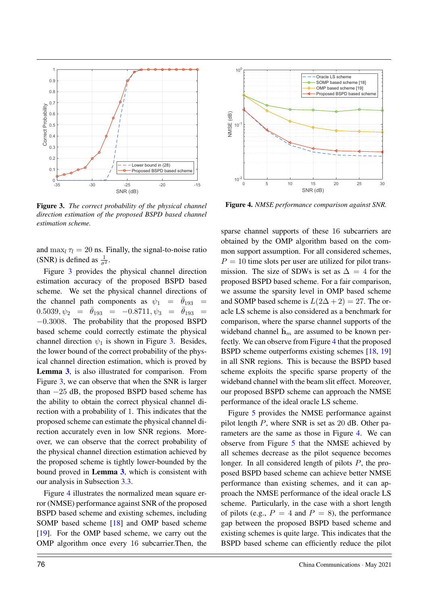

Figure 3. *The correct probability of the physical channel direction estimation of the proposed BSPD based channel estimation scheme.*

and  $\max_l \tau_l = 20$  ns. Finally, the signal-to-noise ratio (SNR) is defined as  $\frac{1}{\sigma^2}$ .

Figure 3 provides the physical channel direction estimation accuracy of the proposed BSPD based scheme. We set the physical channel directions of the channel path components as  $\psi_1 = \bar{\theta}_{193}$  =  $0.5039, \psi_2 = \bar{\theta}_{193} = -0.8711, \psi_3 = \bar{\theta}_{193} =$ −0.3008. The probability that the proposed BSPD based scheme could correctly estimate the physical channel direction  $\psi_1$  is shown in Figure 3. Besides, the lower bound of the correct probability of the physical channel direction estimation, which is proved by Lemma 3, is also illustrated for comparison. From Figure 3, we can observe that when the SNR is larger than −25 dB, the proposed BSPD based scheme has the ability to obtain the correct physical channel direction with a probability of 1. This indicates that the proposed scheme can estimate the physical channel direction accurately even in low SNR regions. Moreover, we can observe that the correct probability of the physical channel direction estimation achieved by the proposed scheme is tightly lower-bounded by the bound proved in Lemma 3, which is consistent with our analysis in Subsection 3.3.

Figure 4 illustrates the normalized mean square error (NMSE) performance against SNR of the proposed BSPD based scheme and existing schemes, including SOMP based scheme [18] and OMP based scheme [19]. For the OMP based scheme, we carry out the OMP algorithm once every 16 subcarrier.Then, the

![](_page_10_Figure_5.jpeg)

Figure 4. *NMSE performance comparison against SNR.*

sparse channel supports of these 16 subcarriers are obtained by the OMP algorithm based on the common support assumption. For all considered schemes,  $P = 10$  time slots per user are utilized for pilot transmission. The size of SDWs is set as  $\Delta = 4$  for the proposed BSPD based scheme. For a fair comparison, we assume the sparsity level in OMP based scheme and SOMP based scheme is  $L(2\Delta + 2) = 27$ . The oracle LS scheme is also considered as a benchmark for comparison, where the sparse channel supports of the wideband channel  $\bar{\mathbf{h}}_m$  are assumed to be known perfectly. We can observe from Figure 4 that the proposed BSPD scheme outperforms existing schemes [18, 19] in all SNR regions. This is because the BSPD based scheme exploits the specific sparse property of the wideband channel with the beam slit effect. Moreover, our proposed BSPD scheme can approach the NMSE performance of the ideal oracle LS scheme.

Figure 5 provides the NMSE performance against pilot length  $P$ , where SNR is set as 20 dB. Other parameters are the same as those in Figure 4. We can observe from Figure 5 that the NMSE achieved by all schemes decrease as the pilot sequence becomes longer. In all considered length of pilots P, the proposed BSPD based scheme can achieve better NMSE performance than existing schemes, and it can approach the NMSE performance of the ideal oracle LS scheme. Particularly, in the case with a short length of pilots (e.g.,  $P = 4$  and  $P = 8$ ), the performance gap between the proposed BSPD based scheme and existing schemes is quite large. This indicates that the BSPD based scheme can efficiently reduce the pilot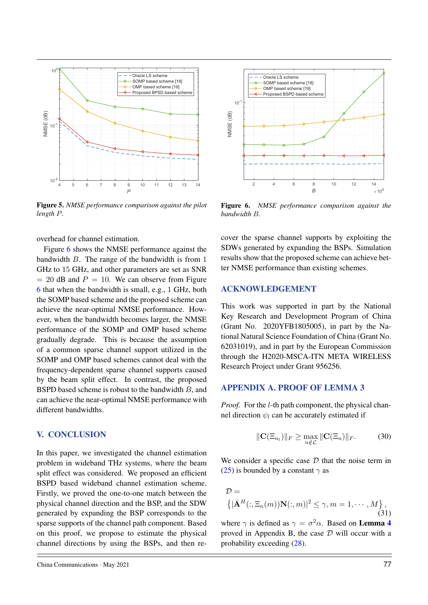![](_page_11_Figure_0.jpeg)

Figure 5. *NMSE performance comparison against the pilot length* P*.*

![](_page_11_Figure_2.jpeg)

Figure 6 shows the NMSE performance against the bandwidth B. The range of the bandwidth is from 1 GHz to 15 GHz, and other parameters are set as SNR  $= 20$  dB and  $P = 10$ . We can observe from Figure 6 that when the bandwidth is small, e.g., 1 GHz, both the SOMP based scheme and the proposed scheme can achieve the near-optimal NMSE performance. However, when the bandwidth becomes larger, the NMSE performance of the SOMP and OMP based scheme gradually degrade. This is because the assumption of a common sparse channel support utilized in the SOMP and OMP based schemes cannot deal with the frequency-dependent sparse channel supports caused by the beam split effect. In contrast, the proposed BSPD based scheme is robust to the bandwidth B, and can achieve the near-optimal NMSE performance with different bandwidths.

### V. CONCLUSION

In this paper, we investigated the channel estimation problem in wideband THz systems, where the beam split effect was considered. We proposed an efficient BSPD based wideband channel estimation scheme. Firstly, we proved the one-to-one match between the physical channel direction and the BSP, and the SDW generated by expanding the BSP corresponds to the sparse supports of the channel path component. Based on this proof, we propose to estimate the physical channel directions by using the BSPs, and then re-

![](_page_11_Figure_7.jpeg)

Figure 6. *NMSE performance comparison against the bandwidth* B*.*

cover the sparse channel supports by exploiting the SDWs generated by expanding the BSPs. Simulation results show that the proposed scheme can achieve better NMSE performance than existing schemes.

## ACKNOWLEDGEMENT

This work was supported in part by the National Key Research and Development Program of China (Grant No. 2020YFB1805005), in part by the National Natural Science Foundation of China (Grant No. 62031019), and in part by the European Commission through the H2020-MSCA-ITN META WIRELESS Research Project under Grant 956256.

### APPENDIX A. PROOF OF LEMMA 3

*Proof.* For the *l*-th path component, the physical channel direction  $\psi_l$  can be accurately estimated if

$$
\|\mathbf{C}(\Xi_{n_l})\|_F \geq \max_{n \notin \mathcal{L}} \|\mathbf{C}(\Xi_n)\|_F. \tag{30}
$$

We consider a specific case  $D$  that the noise term in (25) is bounded by a constant  $\gamma$  as

$$
\mathcal{D} = \left\{ |\bar{\mathbf{A}}^H(:,\Xi_n(m))\mathbf{N}(:,m)|^2 \le \gamma, m = 1, \cdots, M \right\},\tag{31}
$$

where  $\gamma$  is defined as  $\gamma = \sigma^2 \alpha$ . Based on **Lemma 4** proved in Appendix B, the case  $D$  will occur with a probability exceeding (28).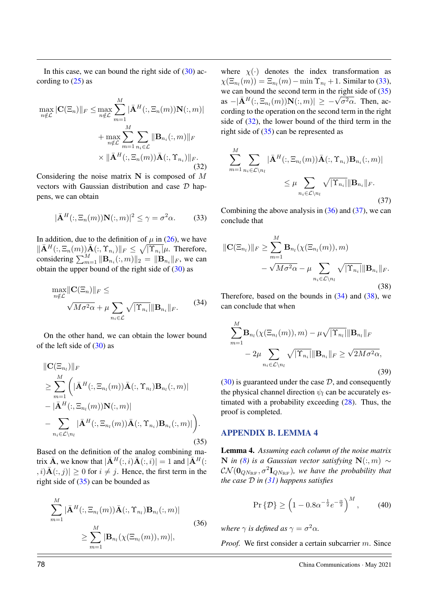In this case, we can bound the right side of  $(30)$  according to  $(25)$  as

$$
\max_{n \notin \mathcal{L}} |\mathbf{C}(\Xi_n)| |_{F} \leq \max_{n \notin \mathcal{L}} \sum_{m=1}^{M} |\bar{\mathbf{A}}^H(:, \Xi_n(m)) \mathbf{N}(:, m)|
$$

$$
+ \max_{n \notin \mathcal{L}} \sum_{m=1}^{M} \sum_{n_i \in \mathcal{L}} ||\mathbf{B}_{n_i}(:, m)||_{F}
$$

$$
\times ||\bar{\mathbf{A}}^H(:, \Xi_n(m))\bar{\mathbf{A}}(:, \Upsilon_{n_i})||_{F}.
$$
(32)

Considering the noise matrix  $N$  is composed of M vectors with Gaussian distribution and case  $D$  happens, we can obtain

$$
|\bar{\mathbf{A}}^H(:,\Xi_n(m))\mathbf{N}(:,m)|^2 \le \gamma = \sigma^2 \alpha.
$$
 (33)

In addition, due to the definition of  $\mu$  in (26), we have  $\|\bar{\mathbf{A}}^H(:,\Xi_n(m))\bar{\mathbf{A}}(:,\Upsilon_{n_i})\|_F \leq \sqrt{|\Upsilon_{n_i}|}\mu$ . Therefore, considering  $\sum_{m=1}^{M} ||\mathbf{B}_{n_i}(:,m)||_2 = ||\mathbf{B}_{n_i}||_F$ , we can obtain the upper bound of the right side of  $(30)$  as

$$
\max_{n \notin \mathcal{L}} \|\mathbf{C}(\Xi_n)\|_F \le \sqrt{M\sigma^2 \alpha} + \mu \sum_{n_i \in \mathcal{L}} \sqrt{|\Upsilon_{n_i}|} \|\mathbf{B}_{n_i}\|_F. \tag{34}
$$

On the other hand, we can obtain the lower bound of the left side of  $(30)$  as

$$
\|\mathbf{C}(\Xi_{n_l})\|_F
$$
  
\n
$$
\geq \sum_{m=1}^M \left( |\bar{\mathbf{A}}^H(:,\Xi_{n_l}(m))\bar{\mathbf{A}}(:,\Upsilon_{n_l})\mathbf{B}_{n_l}(:,m)| - |\bar{\mathbf{A}}^H(:,\Xi_{n_l}(m))\mathbf{N}(:,m)| - \sum_{n_i \in \mathcal{L} \setminus n_l} |\bar{\mathbf{A}}^H(:,\Xi_{n_l}(m))\bar{\mathbf{A}}(:,\Upsilon_{n_i})\mathbf{B}_{n_i}(:,m)| \right). \tag{35}
$$

Based on the definition of the analog combining matrix  $\bar{\mathbf{A}}$ , we know that  $|\bar{\mathbf{A}}^H(:, i)\bar{\mathbf{A}}(:, i)| = 1$  and  $|\bar{\mathbf{A}}^H(:, i)|$  $|j_{i}, i\rangle \overline{A}(:, j)| \geq 0$  for  $i \neq j$ . Hence, the first term in the right side of  $(35)$  can be bounded as

$$
\sum_{m=1}^{M} |\bar{\mathbf{A}}^{H}(:,\Xi_{n_l}(m))\bar{\mathbf{A}}(:,\Upsilon_{n_l})\mathbf{B}_{n_l}(:,m)|
$$
\n
$$
\geq \sum_{m=1}^{M} |\mathbf{B}_{n_l}(\chi(\Xi_{n_l}(m)),m)|,
$$
\n(36)

where  $\chi(\cdot)$  denotes the index transformation as  $\chi(\Xi_{n_l}(m)) = \Xi_{n_l}(m) - \min \Upsilon_{n_l} + 1$ . Similar to (33), we can bound the second term in the right side of  $(35)$ we can bound the second term in the right side of (33)<br>as  $-|\bar{\mathbf{A}}^H(:,\Xi_{n_l}(m))\mathbf{N}(:,m)| \geq -\sqrt{\sigma^2\alpha}$ . Then, according to the operation on the second term in the right side of (32), the lower bound of the third term in the right side of (35) can be represented as

$$
\sum_{m=1}^{M} \sum_{n_i \in \mathcal{L} \setminus n_l} |\bar{\mathbf{A}}^H(:,\Xi_{n_l}(m))\bar{\mathbf{A}}(:,\Upsilon_{n_i})\mathbf{B}_{n_i}(:,m)|
$$
  

$$
\leq \mu \sum_{n_i \in \mathcal{L} \setminus n_l} \sqrt{|\Upsilon_{n_i}||\mathbf{B}_{n_i}||_F}.
$$
 (37)

Combining the above analysis in  $(36)$  and  $(37)$ , we can conclude that

$$
\|\mathbf{C}(\Xi_{n_l})\|_F \ge \sum_{m=1}^M \mathbf{B}_{n_l}(\chi(\Xi_{n_l}(m)), m) - \sqrt{M\sigma^2\alpha} - \mu \sum_{n_i \in \mathcal{L} \setminus n_l} \sqrt{|\Upsilon_{n_i}|} \|\mathbf{B}_{n_i}\|_F.
$$
\n(38)

Therefore, based on the bounds in  $(34)$  and  $(38)$ , we can conclude that when

$$
\sum_{m=1}^{M} \mathbf{B}_{n_l}(\chi(\Xi_{n_l}(m)), m) - \mu \sqrt{|\Upsilon_{n_l}|} \|\mathbf{B}_{n_l}\|_F
$$

$$
-2\mu \sum_{n_i \in \mathcal{L} \setminus n_l} \sqrt{|\Upsilon_{n_i}|} \|\mathbf{B}_{n_i}\|_F \ge \sqrt{2M\sigma^2\alpha},
$$
(39)

 $(30)$  is guaranteed under the case  $D$ , and consequently the physical channel direction  $\psi_l$  can be accurately estimated with a probability exceeding (28). Thus, the proof is completed.

#### APPENDIX B. LEMMA 4

Lemma 4. *Assuming each column of the noise matrix* N *in (8) is a Gaussian vector satisfying* N(:, m) ∼  $\mathcal{CN}(\mathbf{0}_{QN_\text{RF}},\sigma^2 \mathbf{I}_{QN_\text{RF}})$ , we have the probability that *the case* D *in (31) happens satisfies*

$$
\Pr\left\{\mathcal{D}\right\} \ge \left(1 - 0.8\alpha^{-\frac{1}{2}}e^{-\frac{\alpha}{2}}\right)^M,\tag{40}
$$

*where*  $\gamma$  *is defined as*  $\gamma = \sigma^2 \alpha$ *.* 

*Proof.* We first consider a certain subcarrier m. Since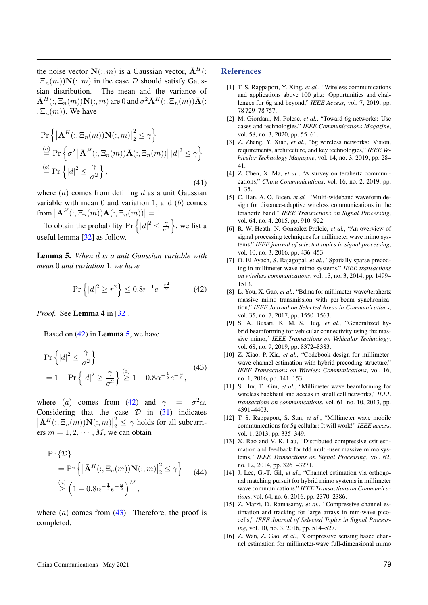the noise vector  $\mathbf{N}(:, m)$  is a Gaussian vector,  $\bar{\mathbf{A}}^H$ .  $,\Xi_n(m)$ ) $\mathbf{N}(:,m)$  in the case  $\mathcal D$  should satisfy Gaussian distribution. The mean and the variance of  $\bar{\mathbf{A}}^H(:,\Xi_n(m))\mathbf{N}(:,m)$  are 0 and  $\sigma^2\bar{\mathbf{A}}^H(:,\Xi_n(m))\bar{\mathbf{A}}(:,$  $, \Xi_n(m)$ ). We have

$$
\Pr\left\{ \left| \bar{\mathbf{A}}^{H}(:, \Xi_n(m)) \mathbf{N}(:, m) \right|_2^2 \leq \gamma \right\}
$$
  
\n
$$
\stackrel{(a)}{=} \Pr\left\{ \sigma^2 \left| \bar{\mathbf{A}}^{H}(:, \Xi_n(m)) \bar{\mathbf{A}}(:, \Xi_n(m)) \right| |d|^2 \leq \gamma \right\}
$$
  
\n
$$
\stackrel{(b)}{=} \Pr\left\{ |d|^2 \leq \frac{\gamma}{\sigma^2} \right\},
$$
\n(41)

where  $(a)$  comes from defining d as a unit Gaussian variable with mean  $\theta$  and variation 1, and  $(b)$  comes from  $\left|\bar{\mathbf{A}}^{H}(:,\Xi_n(m))\bar{\mathbf{A}}(:,\Xi_n(m))\right|=1.$ 

To obtain the probability  $Pr\left\{|d|^2 \leq \frac{2}{\sigma^2}\right\}$  $\left\{\frac{\gamma}{\sigma^2}\right\}$ , we list a useful lemma [32] as follow.

Lemma 5. *When* d *is a unit Gaussian variable with mean* 0 *and variation* 1*, we have*

$$
\Pr\left\{|d|^2 \ge r^2\right\} \le 0.8r^{-1}e^{-\frac{r^2}{2}} \tag{42}
$$

*Proof.* See Lemma 4 in [32].

Based on  $(42)$  in **Lemma 5**, we have

$$
\Pr\left\{|d|^2 \le \frac{\gamma}{\sigma^2}\right\} \n= 1 - \Pr\left\{|d|^2 \ge \frac{\gamma}{\sigma^2}\right\} \stackrel{(a)}{\ge 1} - 0.8\alpha^{-\frac{1}{2}}e^{-\frac{\alpha}{2}},
$$
\n(43)

where (a) comes from (42) and  $\gamma = \sigma^2 \alpha$ . Considering that the case  $D$  in  $(31)$  indicates  $\left|\bar{\mathbf{A}}^{H}(:,\Xi_n(m))\mathbf{N}(:,m)\right|$ 2  $\frac{2}{2} \leq \gamma$  holds for all subcarriers  $m = 1, 2, \cdots, M$ , we can obtain

$$
\Pr\{\mathcal{D}\}\
$$
\n
$$
= \Pr\left\{ \left| \bar{\mathbf{A}}^{H}(:, \Xi_n(m)) \mathbf{N}(:, m) \right|_2^2 \leq \gamma \right\} \quad (44)
$$
\n
$$
\stackrel{(a)}{\geq} \left( 1 - 0.8\alpha^{-\frac{1}{2}} e^{-\frac{\alpha}{2}} \right)^M,
$$

where  $(a)$  comes from  $(43)$ . Therefore, the proof is completed.

#### **References**

- [1] T. S. Rappaport, Y. Xing, *et al.*, "Wireless communications and applications above 100 ghz: Opportunities and challenges for 6g and beyond," *IEEE Access*, vol. 7, 2019, pp. 78 729–78 757.
- [2] M. Giordani, M. Polese, *et al.*, "Toward 6g networks: Use cases and technologies," *IEEE Communications Magazine*, vol. 58, no. 3, 2020, pp. 55–61.
- [3] Z. Zhang, Y. Xiao, *et al.*, "6g wireless networks: Vision, requirements, architecture, and key technologies," *IEEE Vehicular Technology Magazine*, vol. 14, no. 3, 2019, pp. 28– 41.
- [4] Z. Chen, X. Ma, *et al.*, "A survey on terahertz communications," *China Communications*, vol. 16, no. 2, 2019, pp. 1–35.
- [5] C. Han, A. O. Bicen, et al., "Multi-wideband waveform design for distance-adaptive wireless communications in the terahertz band," *IEEE Transactions on Signal Processing*, vol. 64, no. 4, 2015, pp. 910–922.
- [6] R. W. Heath, N. Gonzalez-Prelcic, *et al.*, "An overview of signal processing techniques for millimeter wave mimo systems," *IEEE journal of selected topics in signal processing*, vol. 10, no. 3, 2016, pp. 436–453.
- [7] O. El Ayach, S. Rajagopal, *et al.*, "Spatially sparse precoding in millimeter wave mimo systems," *IEEE transactions on wireless communications*, vol. 13, no. 3, 2014, pp. 1499– 1513.
- [8] L. You, X. Gao, *et al.*, "Bdma for millimeter-wave/terahertz massive mimo transmission with per-beam synchronization," *IEEE Journal on Selected Areas in Communications*, vol. 35, no. 7, 2017, pp. 1550–1563.
- [9] S. A. Busari, K. M. S. Huq, *et al.*, "Generalized hybrid beamforming for vehicular connectivity using thz massive mimo," *IEEE Transactions on Vehicular Technology*, vol. 68, no. 9, 2019, pp. 8372–8383.
- [10] Z. Xiao, P. Xia, *et al.*, "Codebook design for millimeterwave channel estimation with hybrid precoding structure," *IEEE Transactions on Wireless Communications*, vol. 16, no. 1, 2016, pp. 141–153.
- [11] S. Hur, T. Kim, *et al.*, "Millimeter wave beamforming for wireless backhaul and access in small cell networks," *IEEE transactions on communications*, vol. 61, no. 10, 2013, pp. 4391–4403.
- [12] T. S. Rappaport, S. Sun, *et al.*, "Millimeter wave mobile communications for 5g cellular: It will work!" *IEEE access*, vol. 1, 2013, pp. 335–349.
- [13] X. Rao and V. K. Lau, "Distributed compressive csit estimation and feedback for fdd multi-user massive mimo systems," *IEEE Transactions on Signal Processing*, vol. 62, no. 12, 2014, pp. 3261–3271.
- [14] J. Lee, G.-T. Gil, *et al.*, "Channel estimation via orthogonal matching pursuit for hybrid mimo systems in millimeter wave communications," *IEEE Transactions on Communications*, vol. 64, no. 6, 2016, pp. 2370–2386.
- [15] Z. Marzi, D. Ramasamy, *et al.*, "Compressive channel estimation and tracking for large arrays in mm-wave picocells," *IEEE Journal of Selected Topics in Signal Processing*, vol. 10, no. 3, 2016, pp. 514–527.
- [16] Z. Wan, Z. Gao, *et al.*, "Compressive sensing based channel estimation for millimeter-wave full-dimensional mimo

#### China Communications · May 2021 79